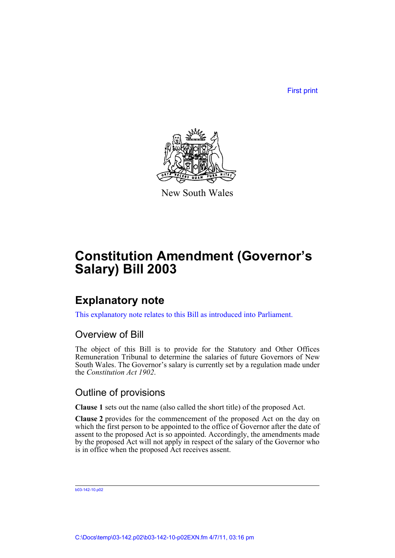First print



New South Wales

# **Constitution Amendment (Governor's Salary) Bill 2003**

## **Explanatory note**

This explanatory note relates to this Bill as introduced into Parliament.

### Overview of Bill

The object of this Bill is to provide for the Statutory and Other Offices Remuneration Tribunal to determine the salaries of future Governors of New South Wales. The Governor's salary is currently set by a regulation made under the *Constitution Act 1902*.

### Outline of provisions

**Clause 1** sets out the name (also called the short title) of the proposed Act.

**Clause 2** provides for the commencement of the proposed Act on the day on which the first person to be appointed to the office of Governor after the date of assent to the proposed Act is so appointed. Accordingly, the amendments made by the proposed Act will not apply in respect of the salary of the Governor who is in office when the proposed Act receives assent.

b03-142-10.p02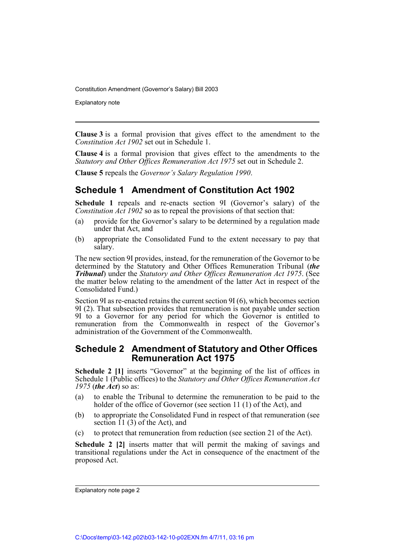Explanatory note

**Clause 3** is a formal provision that gives effect to the amendment to the *Constitution Act 1902* set out in Schedule 1.

**Clause 4** is a formal provision that gives effect to the amendments to the *Statutory and Other Offices Remuneration Act 1975* set out in Schedule 2.

**Clause 5** repeals the *Governor's Salary Regulation 1990*.

### **Schedule 1 Amendment of Constitution Act 1902**

**Schedule 1** repeals and re-enacts section 9I (Governor's salary) of the *Constitution Act 1902* so as to repeal the provisions of that section that:

- (a) provide for the Governor's salary to be determined by a regulation made under that Act, and
- (b) appropriate the Consolidated Fund to the extent necessary to pay that salary.

The new section 9I provides, instead, for the remuneration of the Governor to be determined by the Statutory and Other Offices Remuneration Tribunal (*the Tribunal*) under the *Statutory and Other Offices Remuneration Act 1975*. (See the matter below relating to the amendment of the latter Act in respect of the Consolidated Fund.)

Section 9I as re-enacted retains the current section 9I (6), which becomes section 9I (2). That subsection provides that remuneration is not payable under section 9I to a Governor for any period for which the Governor is entitled to remuneration from the Commonwealth in respect of the Governor's administration of the Government of the Commonwealth.

#### **Schedule 2 Amendment of Statutory and Other Offices Remuneration Act 1975**

**Schedule 2 [1]** inserts "Governor" at the beginning of the list of offices in Schedule 1 (Public offices) to the *Statutory and Other Offices Remuneration Act 1975* (*the Act*) so as:

- (a) to enable the Tribunal to determine the remuneration to be paid to the holder of the office of Governor (see section 11 (1) of the Act), and
- (b) to appropriate the Consolidated Fund in respect of that remuneration (see section  $11(3)$  of the Act), and
- (c) to protect that remuneration from reduction (see section 21 of the Act).

**Schedule 2 [2]** inserts matter that will permit the making of savings and transitional regulations under the Act in consequence of the enactment of the proposed Act.

Explanatory note page 2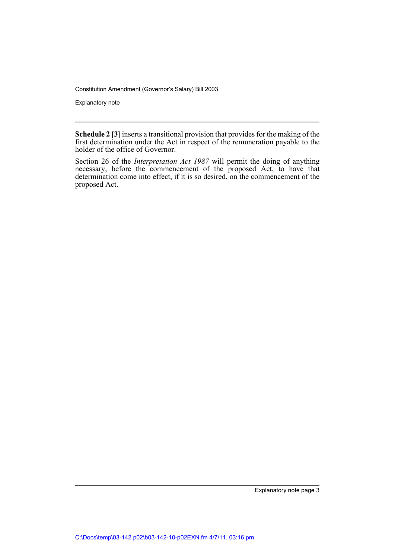Explanatory note

**Schedule 2 [3]** inserts a transitional provision that provides for the making of the first determination under the Act in respect of the remuneration payable to the holder of the office of Governor.

Section 26 of the *Interpretation Act 1987* will permit the doing of anything necessary, before the commencement of the proposed Act, to have that determination come into effect, if it is so desired, on the commencement of the proposed Act.

Explanatory note page 3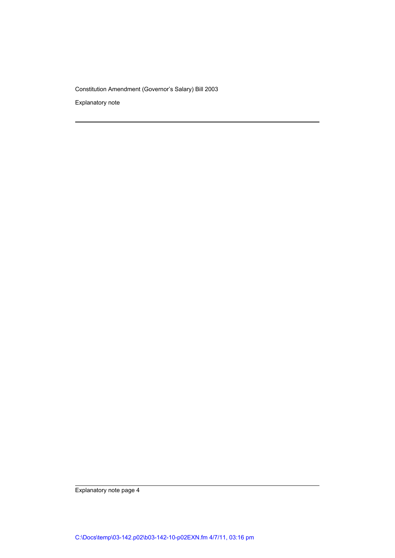Explanatory note

Explanatory note page 4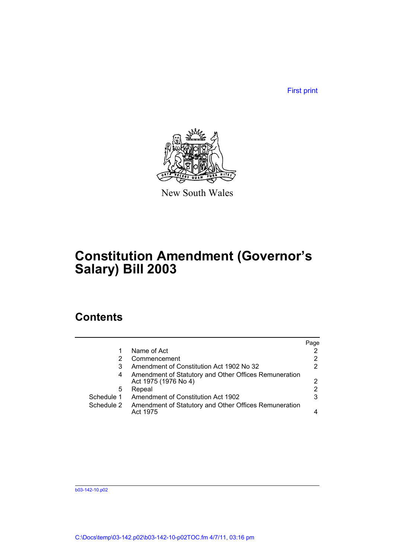First print



New South Wales

## **Constitution Amendment (Governor's Salary) Bill 2003**

### **Contents**

|                                                                               | Page |
|-------------------------------------------------------------------------------|------|
| Name of Act                                                                   |      |
| Commencement                                                                  | 2    |
| Amendment of Constitution Act 1902 No 32                                      | 2    |
| Amendment of Statutory and Other Offices Remuneration<br>Act 1975 (1976 No 4) | 2    |
| Repeal                                                                        | 2    |
| Amendment of Constitution Act 1902                                            | 3    |
| Amendment of Statutory and Other Offices Remuneration<br>Act 1975             |      |
|                                                                               |      |

b03-142-10.p02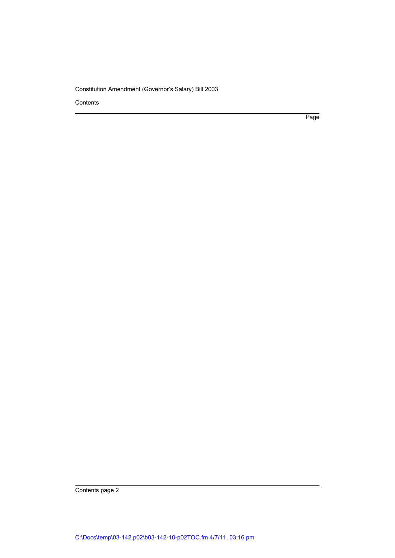Contents

Page

Contents page 2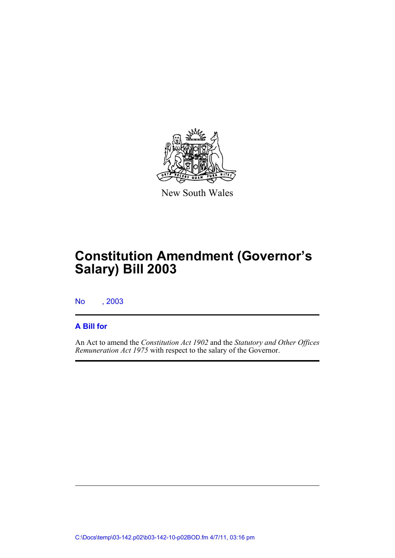

New South Wales

# **Constitution Amendment (Governor's Salary) Bill 2003**

No , 2003

#### **A Bill for**

An Act to amend the *Constitution Act 1902* and the *Statutory and Other Offices Remuneration Act 1975* with respect to the salary of the Governor.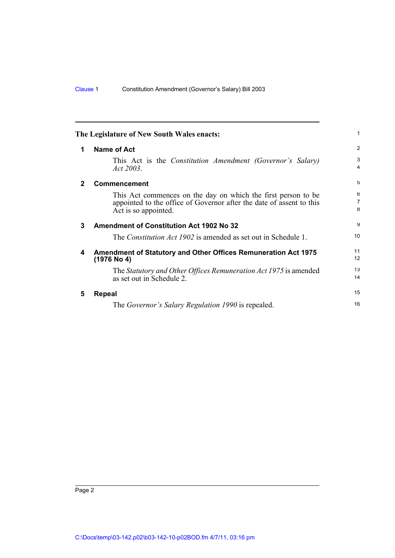|             | The Legislature of New South Wales enacts:                                                                                                                    | 1                        |  |
|-------------|---------------------------------------------------------------------------------------------------------------------------------------------------------------|--------------------------|--|
| 1           | Name of Act                                                                                                                                                   | $\overline{2}$           |  |
|             | This Act is the <i>Constitution Amendment (Governor's Salary)</i><br>Act 2003.                                                                                | 3<br>4                   |  |
| $\mathbf 2$ | <b>Commencement</b>                                                                                                                                           | 5                        |  |
|             | This Act commences on the day on which the first person to be<br>appointed to the office of Governor after the date of assent to this<br>Act is so appointed. | 6<br>$\overline{7}$<br>8 |  |
| 3           | <b>Amendment of Constitution Act 1902 No 32</b>                                                                                                               | 9                        |  |
|             | The <i>Constitution Act 1902</i> is amended as set out in Schedule 1.                                                                                         | 10                       |  |
| 4           | <b>Amendment of Statutory and Other Offices Remuneration Act 1975</b><br>(1976 No 4)                                                                          |                          |  |
|             | The Statutory and Other Offices Remuneration Act 1975 is amended<br>as set out in Schedule 2.                                                                 | 13<br>14                 |  |
| 5           | <b>Repeal</b>                                                                                                                                                 | 15                       |  |
|             | The <i>Governor's Salary Regulation 1990</i> is repealed.                                                                                                     | 16                       |  |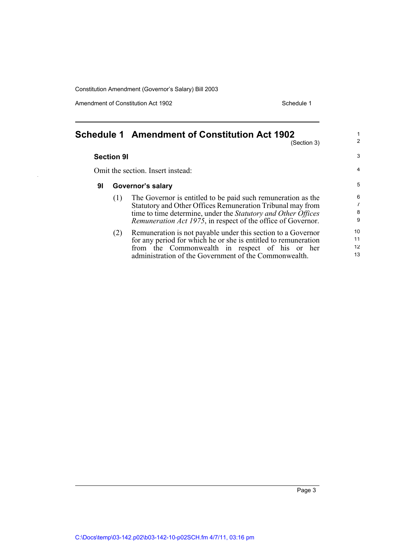Amendment of Constitution Act 1902 Schedule 1

 $\hat{\mathcal{A}}$ 

|    |                   | <b>Schedule 1 Amendment of Constitution Act 1902</b><br>(Section 3)                                                                                                                                                                                                        | 1<br>$\overline{2}$               |
|----|-------------------|----------------------------------------------------------------------------------------------------------------------------------------------------------------------------------------------------------------------------------------------------------------------------|-----------------------------------|
|    | <b>Section 91</b> |                                                                                                                                                                                                                                                                            | 3                                 |
|    |                   | Omit the section. Insert instead:                                                                                                                                                                                                                                          | 4                                 |
| 91 |                   | Governor's salary                                                                                                                                                                                                                                                          | 5                                 |
|    | (1)               | The Governor is entitled to be paid such remuneration as the<br>Statutory and Other Offices Remuneration Tribunal may from<br>time to time determine, under the <i>Statutory and Other Offices</i><br><i>Remuneration Act 1975</i> , in respect of the office of Governor. | 6<br>$\overline{7}$<br>8<br>9     |
|    | (2)               | Remuneration is not payable under this section to a Governor<br>for any period for which he or she is entitled to remuneration<br>from the Commonwealth in respect of his or her<br>administration of the Government of the Commonwealth.                                  | 10<br>11<br>12 <sup>2</sup><br>13 |